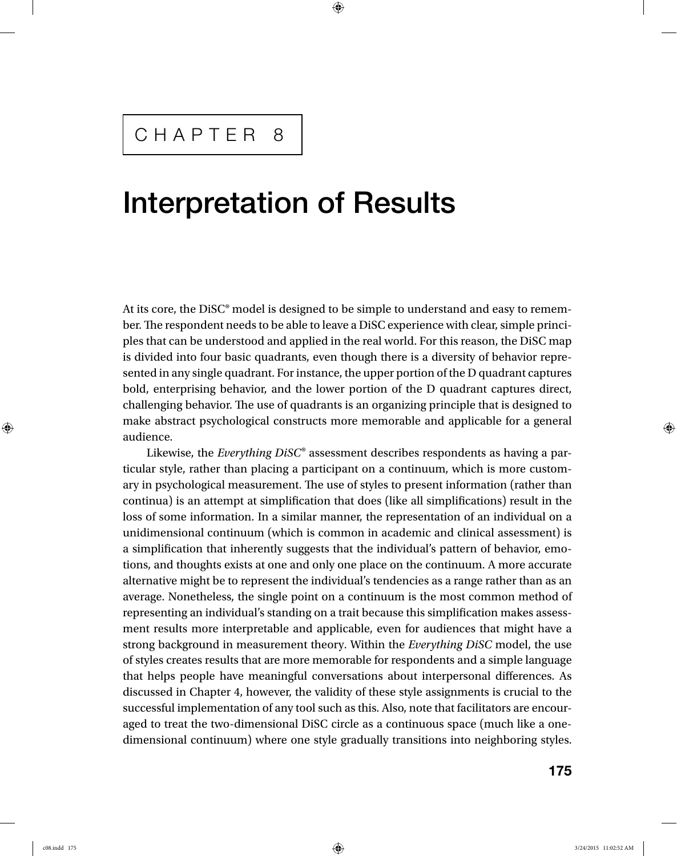# Interpretation of Results

At its core, the DiSC® model is designed to be simple to understand and easy to remember. The respondent needs to be able to leave a DiSC experience with clear, simple principles that can be understood and applied in the real world. For this reason, the DiSC map is divided into four basic quadrants, even though there is a diversity of behavior represented in any single quadrant. For instance, the upper portion of the D quadrant captures bold, enterprising behavior, and the lower portion of the D quadrant captures direct, challenging behavior. The use of quadrants is an organizing principle that is designed to make abstract psychological constructs more memorable and applicable for a general audience.

Likewise, the *Everything DiSC*® assessment describes respondents as having a particular style, rather than placing a participant on a continuum, which is more customary in psychological measurement. The use of styles to present information (rather than continua) is an attempt at simplification that does (like all simplifications) result in the loss of some information. In a similar manner, the representation of an individual on a unidimensional continuum (which is common in academic and clinical assessment) is a simplification that inherently suggests that the individual's pattern of behavior, emotions, and thoughts exists at one and only one place on the continuum. A more accurate alternative might be to represent the individual's tendencies as a range rather than as an average. Nonetheless, the single point on a continuum is the most common method of representing an individual's standing on a trait because this simplification makes assessment results more interpretable and applicable, even for audiences that might have a strong background in measurement theory. Within the *Everything DiSC* model, the use of styles creates results that are more memorable for respondents and a simple language that helps people have meaningful conversations about interpersonal differences. As discussed in Chapter 4, however, the validity of these style assignments is crucial to the successful implementation of any tool such as this. Also, note that facilitators are encouraged to treat the two-dimensional DiSC circle as a continuous space (much like a onedimensional continuum) where one style gradually transitions into neighboring styles.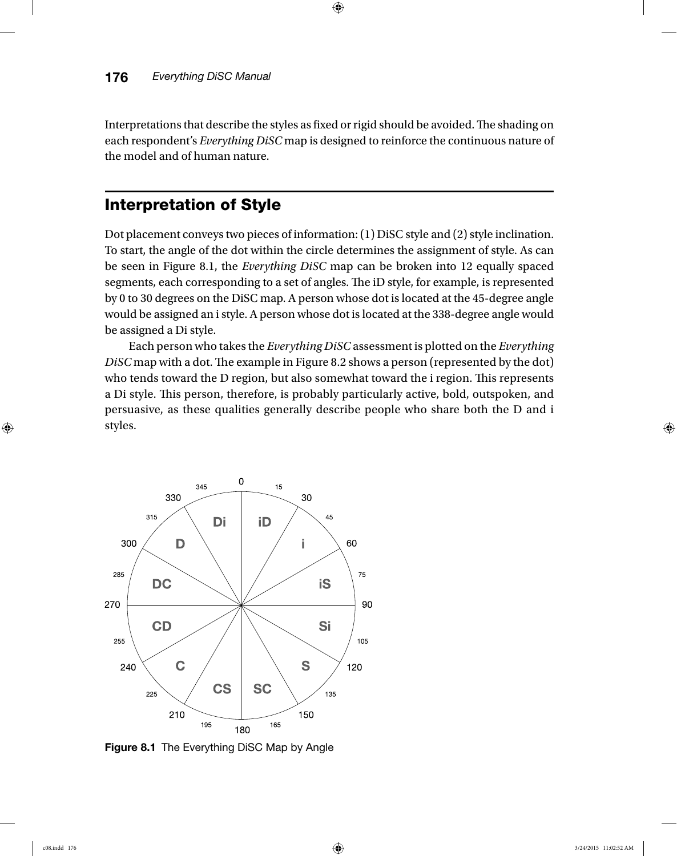Interpretations that describe the styles as fixed or rigid should be avoided. The shading on each respondent's *Everything DiSC* map is designed to reinforce the continuous nature of the model and of human nature.

## Interpretation of Style

Dot placement conveys two pieces of information: (1) DiSC style and (2) style inclination. To start, the angle of the dot within the circle determines the assignment of style. As can be seen in Figure 8.1, the *Everything DiSC* map can be broken into 12 equally spaced segments, each corresponding to a set of angles. The iD style, for example, is represented by 0 to 30 degrees on the DiSC map. A person whose dot is located at the 45-degree angle would be assigned an i style. A person whose dot is located at the 338-degree angle would be assigned a Di style.

Each person who takes the *Everything DiSC* assessment is plotted on the *Everything DiSC* map with a dot. The example in Figure 8.2 shows a person (represented by the dot) who tends toward the D region, but also somewhat toward the i region. This represents a Di style. This person, therefore, is probably particularly active, bold, outspoken, and persuasive, as these qualities generally describe people who share both the D and i styles.



Figure 8.1 The Everything DiSC Map by Angle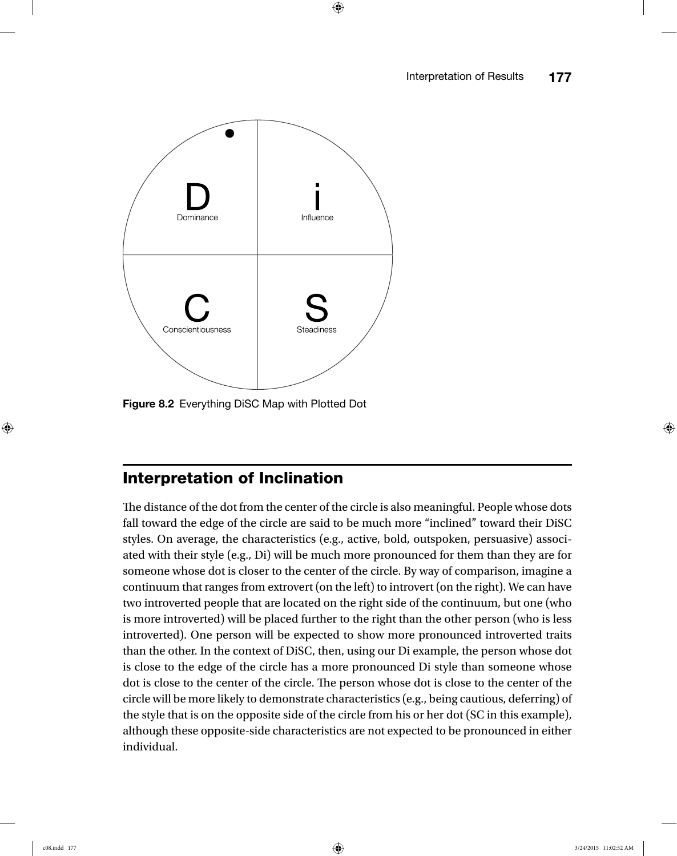

Figure 8.2 Everything DiSC Map with Plotted Dot

## Interpretation of Inclination

The distance of the dot from the center of the circle is also meaningful. People whose dots fall toward the edge of the circle are said to be much more "inclined" toward their DiSC styles. On average, the characteristics (e.g., active, bold, outspoken, persuasive) associated with their style (e.g., Di) will be much more pronounced for them than they are for someone whose dot is closer to the center of the circle. By way of comparison, imagine a continuum that ranges from extrovert (on the left) to introvert (on the right). We can have two introverted people that are located on the right side of the continuum, but one (who is more introverted) will be placed further to the right than the other person (who is less introverted). One person will be expected to show more pronounced introverted traits than the other. In the context of DiSC, then, using our Di example, the person whose dot is close to the edge of the circle has a more pronounced Di style than someone whose dot is close to the center of the circle. The person whose dot is close to the center of the circle will be more likely to demonstrate characteristics (e.g., being cautious, deferring) of the style that is on the opposite side of the circle from his or her dot (SC in this example), although these opposite-side characteristics are not expected to be pronounced in either individual.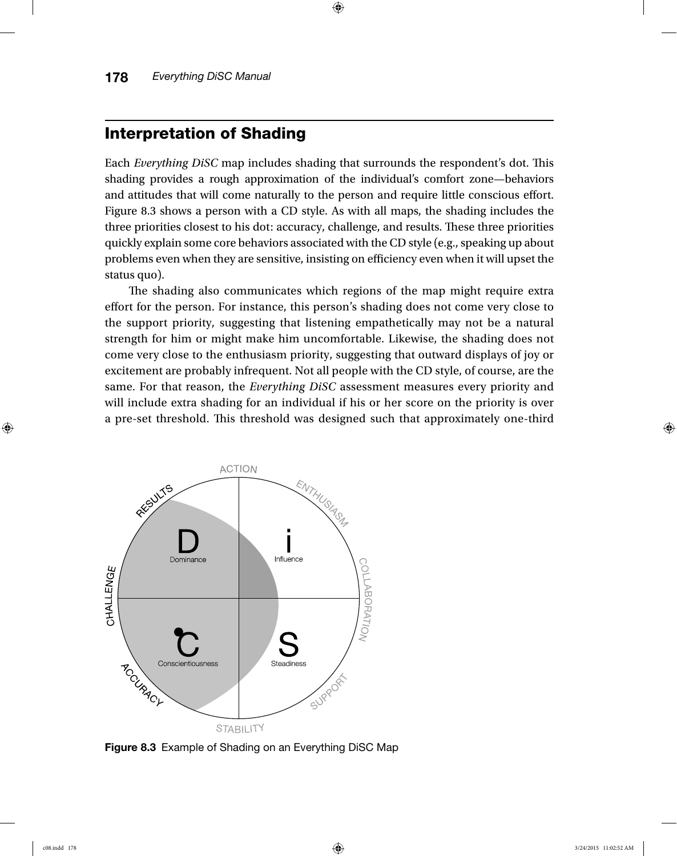## Interpretation of Shading

Each *Everything DiSC* map includes shading that surrounds the respondent's dot. This shading provides a rough approximation of the individual's comfort zone—behaviors and attitudes that will come naturally to the person and require little conscious effort. Figure 8.3 shows a person with a CD style. As with all maps, the shading includes the three priorities closest to his dot: accuracy, challenge, and results. These three priorities quickly explain some core behaviors associated with the CD style (e.g., speaking up about problems even when they are sensitive, insisting on efficiency even when it will upset the status quo).

The shading also communicates which regions of the map might require extra effort for the person. For instance, this person's shading does not come very close to the support priority, suggesting that listening empathetically may not be a natural strength for him or might make him uncomfortable. Likewise, the shading does not come very close to the enthusiasm priority, suggesting that outward displays of joy or excitement are probably infrequent. Not all people with the CD style, of course, are the same. For that reason, the *Everything DiSC* assessment measures every priority and will include extra shading for an individual if his or her score on the priority is over a pre-set threshold. This threshold was designed such that approximately one-third



Figure 8.3 Example of Shading on an Everything DiSC Map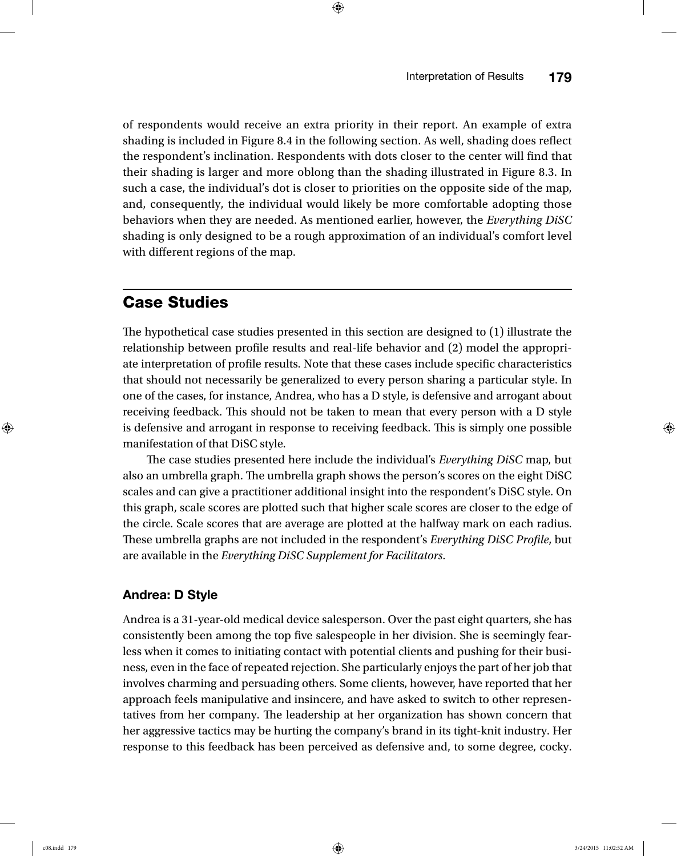of respondents would receive an extra priority in their report. An example of extra shading is included in Figure 8.4 in the following section. As well, shading does reflect the respondent's inclination. Respondents with dots closer to the center will find that their shading is larger and more oblong than the shading illustrated in Figure 8.3. In such a case, the individual's dot is closer to priorities on the opposite side of the map, and, consequently, the individual would likely be more comfortable adopting those behaviors when they are needed. As mentioned earlier, however, the *Everything DiSC* shading is only designed to be a rough approximation of an individual's comfort level with different regions of the map.

## Case Studies

The hypothetical case studies presented in this section are designed to (1) illustrate the relationship between profile results and real-life behavior and (2) model the appropriate interpretation of profile results. Note that these cases include specific characteristics that should not necessarily be generalized to every person sharing a particular style. In one of the cases, for instance, Andrea, who has a D style, is defensive and arrogant about receiving feedback. This should not be taken to mean that every person with a D style is defensive and arrogant in response to receiving feedback. This is simply one possible manifestation of that DiSC style.

The case studies presented here include the individual's *Everything DiSC* map, but also an umbrella graph. The umbrella graph shows the person's scores on the eight DiSC scales and can give a practitioner additional insight into the respondent's DiSC style. On this graph, scale scores are plotted such that higher scale scores are closer to the edge of the circle. Scale scores that are average are plotted at the halfway mark on each radius. These umbrella graphs are not included in the respondent's *Everything DiSC Profile*, but are available in the *Everything DiSC Supplement for Facilitators*.

### Andrea: D Style

Andrea is a 31-year-old medical device salesperson. Over the past eight quarters, she has consistently been among the top five salespeople in her division. She is seemingly fearless when it comes to initiating contact with potential clients and pushing for their business, even in the face of repeated rejection. She particularly enjoys the part of her job that involves charming and persuading others. Some clients, however, have reported that her approach feels manipulative and insincere, and have asked to switch to other representatives from her company. The leadership at her organization has shown concern that her aggressive tactics may be hurting the company's brand in its tight-knit industry. Her response to this feedback has been perceived as defensive and, to some degree, cocky.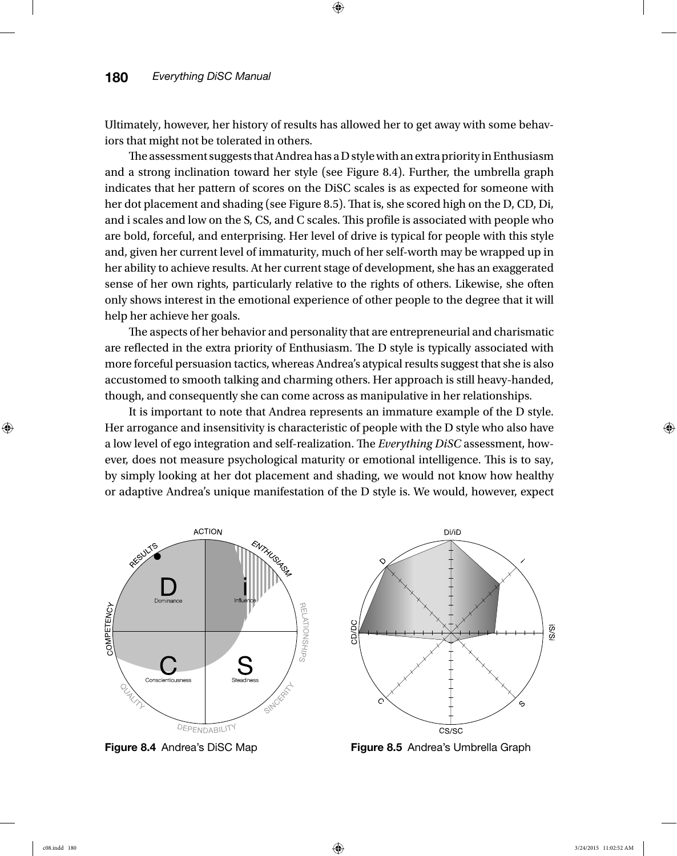Ultimately, however, her history of results has allowed her to get away with some behaviors that might not be tolerated in others.

The assessment suggests that Andrea has a D style with an extra priority in Enthusiasm and a strong inclination toward her style (see Figure 8.4). Further, the umbrella graph indicates that her pattern of scores on the DiSC scales is as expected for someone with her dot placement and shading (see Figure 8.5). That is, she scored high on the D, CD, Di, and i scales and low on the S, CS, and C scales. This profile is associated with people who are bold, forceful, and enterprising. Her level of drive is typical for people with this style and, given her current level of immaturity, much of her self-worth may be wrapped up in her ability to achieve results. At her current stage of development, she has an exaggerated sense of her own rights, particularly relative to the rights of others. Likewise, she often only shows interest in the emotional experience of other people to the degree that it will help her achieve her goals.

The aspects of her behavior and personality that are entrepreneurial and charismatic are reflected in the extra priority of Enthusiasm. The D style is typically associated with more forceful persuasion tactics, whereas Andrea's atypical results suggest that she is also accustomed to smooth talking and charming others. Her approach is still heavy-handed, though, and consequently she can come across as manipulative in her relationships.

It is important to note that Andrea represents an immature example of the D style. Her arrogance and insensitivity is characteristic of people with the D style who also have a low level of ego integration and self-realization. The *Everything DiSC* assessment, however, does not measure psychological maturity or emotional intelligence. This is to say, by simply looking at her dot placement and shading, we would not know how healthy or adaptive Andrea's unique manifestation of the D style is. We would, however, expect



**Figure 8.4** Andrea's DiSC Map **Figure 8.5** Andrea's Umbrella Graph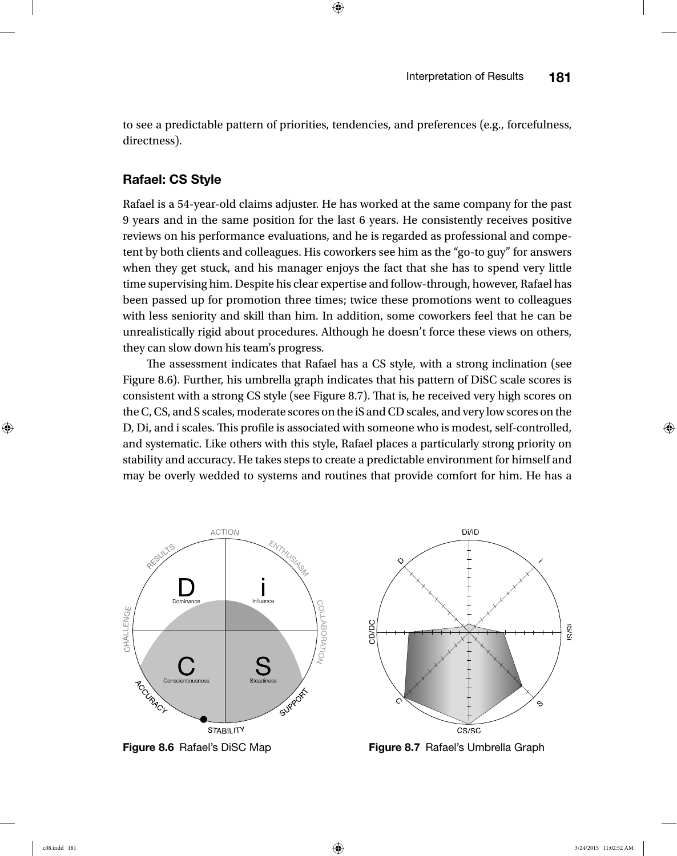to see a predictable pattern of priorities, tendencies, and preferences (e.g., forcefulness, directness).

#### Rafael: CS Style

Rafael is a 54-year-old claims adjuster. He has worked at the same company for the past 9 years and in the same position for the last 6 years. He consistently receives positive reviews on his performance evaluations, and he is regarded as professional and competent by both clients and colleagues. His coworkers see him as the "go-to guy" for answers when they get stuck, and his manager enjoys the fact that she has to spend very little time supervising him. Despite his clear expertise and follow-through, however, Rafael has been passed up for promotion three times; twice these promotions went to colleagues with less seniority and skill than him. In addition, some coworkers feel that he can be unrealistically rigid about procedures. Although he doesn't force these views on others, they can slow down his team's progress.

The assessment indicates that Rafael has a CS style, with a strong inclination (see Figure 8.6). Further, his umbrella graph indicates that his pattern of DiSC scale scores is consistent with a strong CS style (see Figure 8.7). That is, he received very high scores on the C, CS, and S scales, moderate scores on the iS and CD scales, and very low scores on the D, Di, and i scales. This profile is associated with someone who is modest, self-controlled, and systematic. Like others with this style, Rafael places a particularly strong priority on stability and accuracy. He takes steps to create a predictable environment for himself and may be overly wedded to systems and routines that provide comfort for him. He has a



**Figure 8.6** Rafael's DiSC Map **Figure 8.7** Rafael's Umbrella Graph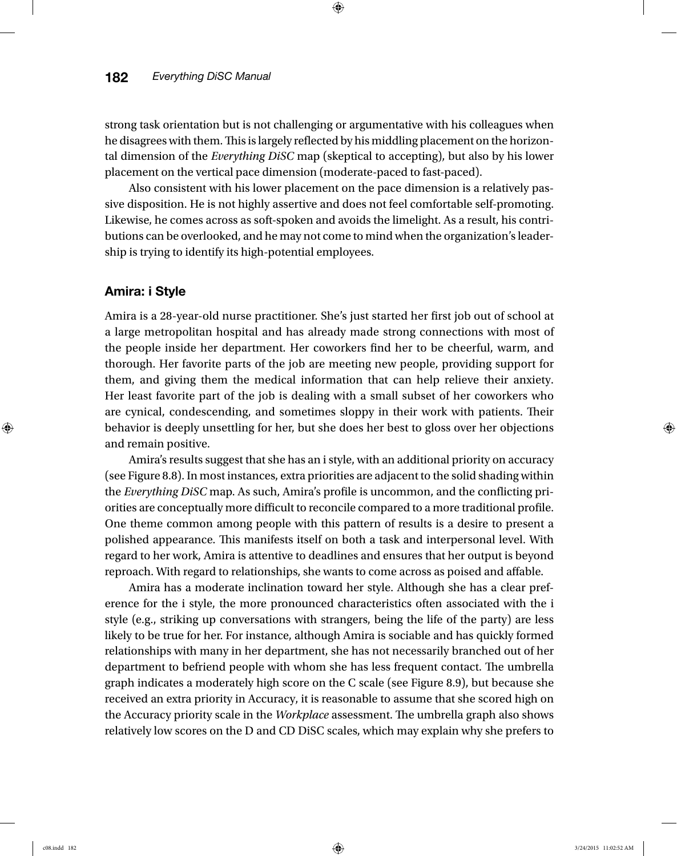strong task orientation but is not challenging or argumentative with his colleagues when he disagrees with them. This is largely reflected by his middling placement on the horizontal dimension of the *Everything DiSC* map (skeptical to accepting), but also by his lower placement on the vertical pace dimension (moderate-paced to fast-paced).

Also consistent with his lower placement on the pace dimension is a relatively passive disposition. He is not highly assertive and does not feel comfortable self-promoting. Likewise, he comes across as soft-spoken and avoids the limelight. As a result, his contributions can be overlooked, and he may not come to mind when the organization's leadership is trying to identify its high-potential employees.

#### Amira: i Style

Amira is a 28-year-old nurse practitioner. She's just started her first job out of school at a large metropolitan hospital and has already made strong connections with most of the people inside her department. Her coworkers find her to be cheerful, warm, and thorough. Her favorite parts of the job are meeting new people, providing support for them, and giving them the medical information that can help relieve their anxiety. Her least favorite part of the job is dealing with a small subset of her coworkers who are cynical, condescending, and sometimes sloppy in their work with patients. Their behavior is deeply unsettling for her, but she does her best to gloss over her objections and remain positive.

Amira's results suggest that she has an i style, with an additional priority on accuracy (see Figure 8.8). In most instances, extra priorities are adjacent to the solid shading within the *Everything DiSC* map. As such, Amira's profile is uncommon, and the conflicting priorities are conceptually more difficult to reconcile compared to a more traditional profile. One theme common among people with this pattern of results is a desire to present a polished appearance. This manifests itself on both a task and interpersonal level. With regard to her work, Amira is attentive to deadlines and ensures that her output is beyond reproach. With regard to relationships, she wants to come across as poised and affable.

Amira has a moderate inclination toward her style. Although she has a clear preference for the i style, the more pronounced characteristics often associated with the i style (e.g., striking up conversations with strangers, being the life of the party) are less likely to be true for her. For instance, although Amira is sociable and has quickly formed relationships with many in her department, she has not necessarily branched out of her department to befriend people with whom she has less frequent contact. The umbrella graph indicates a moderately high score on the C scale (see Figure 8.9), but because she received an extra priority in Accuracy, it is reasonable to assume that she scored high on the Accuracy priority scale in the *Workplace* assessment. The umbrella graph also shows relatively low scores on the D and CD DiSC scales, which may explain why she prefers to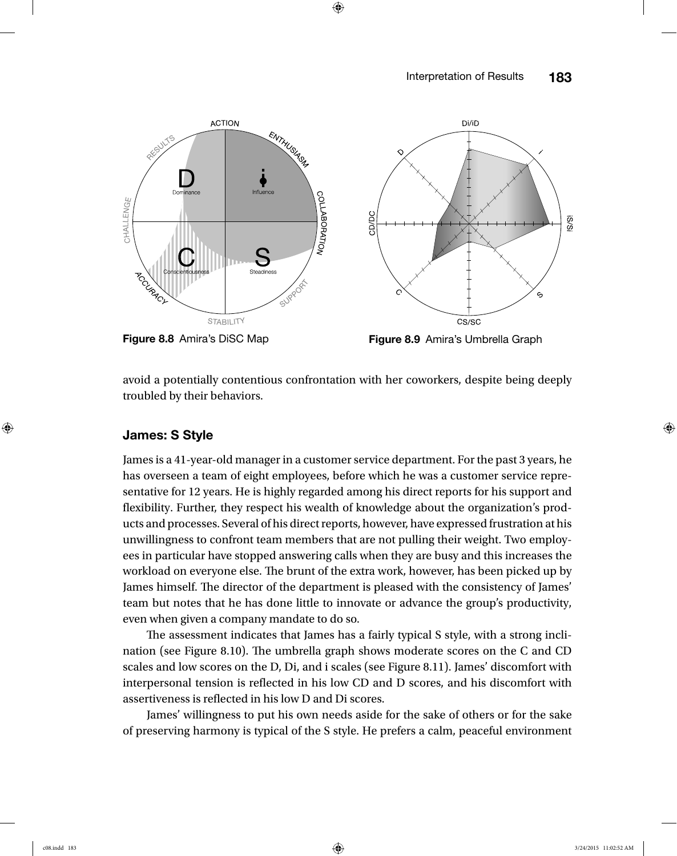

Figure 8.8 Amira's DiSC Map Figure 8.9 Amira's Umbrella Graph

avoid a potentially contentious confrontation with her coworkers, despite being deeply troubled by their behaviors.

#### James: S Style

James is a 41-year-old manager in a customer service department. For the past 3 years, he has overseen a team of eight employees, before which he was a customer service representative for 12 years. He is highly regarded among his direct reports for his support and flexibility. Further, they respect his wealth of knowledge about the organization's products and processes. Several of his direct reports, however, have expressed frustration at his unwillingness to confront team members that are not pulling their weight. Two employees in particular have stopped answering calls when they are busy and this increases the workload on everyone else. The brunt of the extra work, however, has been picked up by James himself. The director of the department is pleased with the consistency of James' team but notes that he has done little to innovate or advance the group's productivity, even when given a company mandate to do so.

The assessment indicates that James has a fairly typical S style, with a strong inclination (see Figure 8.10). The umbrella graph shows moderate scores on the C and CD scales and low scores on the D, Di, and i scales (see Figure 8.11). James' discomfort with interpersonal tension is reflected in his low CD and D scores, and his discomfort with assertiveness is reflected in his low D and Di scores.

James' willingness to put his own needs aside for the sake of others or for the sake of preserving harmony is typical of the S style. He prefers a calm, peaceful environment